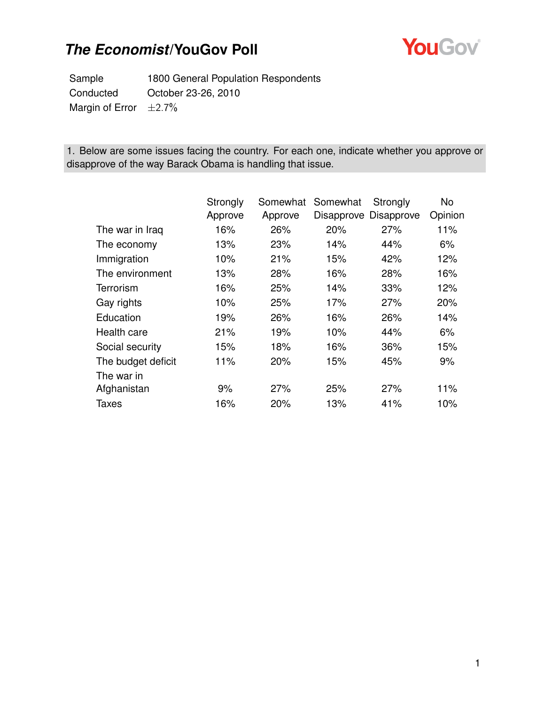

Sample 1800 General Population Respondents Conducted October 23-26, 2010 Margin of Error  $\pm 2.7\%$ 

1. Below are some issues facing the country. For each one, indicate whether you approve or disapprove of the way Barack Obama is handling that issue.

|                    | Strongly | Somewhat | Somewhat | Strongly              | <b>No</b> |
|--------------------|----------|----------|----------|-----------------------|-----------|
|                    | Approve  | Approve  |          | Disapprove Disapprove | Opinion   |
| The war in Iraq    | 16%      | 26%      | 20%      | 27%                   | 11%       |
| The economy        | 13%      | 23%      | 14%      | 44%                   | 6%        |
| Immigration        | 10%      | 21%      | 15%      | 42%                   | 12%       |
| The environment    | 13%      | 28%      | 16%      | 28%                   | 16%       |
| Terrorism          | 16%      | 25%      | 14%      | 33%                   | 12%       |
| Gay rights         | 10%      | 25%      | 17%      | 27%                   | 20%       |
| Education          | 19%      | 26%      | 16%      | 26%                   | 14%       |
| Health care        | 21%      | 19%      | 10%      | 44%                   | 6%        |
| Social security    | 15%      | 18%      | 16%      | 36%                   | 15%       |
| The budget deficit | 11%      | 20%      | 15%      | 45%                   | 9%        |
| The war in         |          |          |          |                       |           |
| Afghanistan        | 9%       | 27%      | 25%      | 27%                   | 11%       |
| <b>Taxes</b>       | 16%      | 20%      | 13%      | 41%                   | 10%       |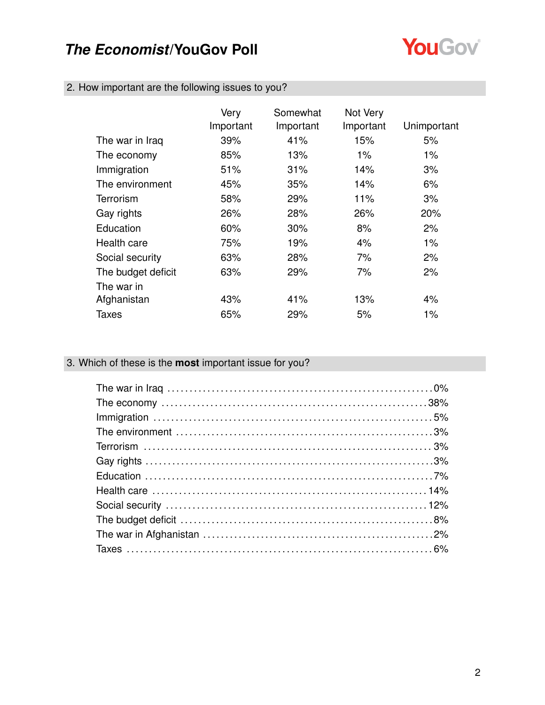

|  |  |  |  |  | 2. How important are the following issues to you? |  |
|--|--|--|--|--|---------------------------------------------------|--|
|--|--|--|--|--|---------------------------------------------------|--|

|                    | Very<br>Important | Somewhat<br>Important | Not Very<br>Important | Unimportant |
|--------------------|-------------------|-----------------------|-----------------------|-------------|
| The war in Iraq    | 39%               | 41%                   | 15%                   | 5%          |
| The economy        | 85%               | 13%                   | $1\%$                 | $1\%$       |
| Immigration        | 51%               | 31%                   | 14%                   | 3%          |
| The environment    | 45%               | 35%                   | 14%                   | 6%          |
| Terrorism          | 58%               | 29%                   | 11%                   | 3%          |
| Gay rights         | 26%               | 28%                   | 26%                   | 20%         |
| Education          | 60%               | $30\%$                | 8%                    | 2%          |
| Health care        | 75%               | 19%                   | 4%                    | $1\%$       |
| Social security    | 63%               | 28%                   | 7%                    | 2%          |
| The budget deficit | 63%               | 29%                   | 7%                    | 2%          |
| The war in         |                   |                       |                       |             |
| Afghanistan        | 43%               | 41%                   | 13%                   | 4%          |
| Taxes              | 65%               | 29%                   | 5%                    | 1%          |

### 3. Which of these is the **most** important issue for you?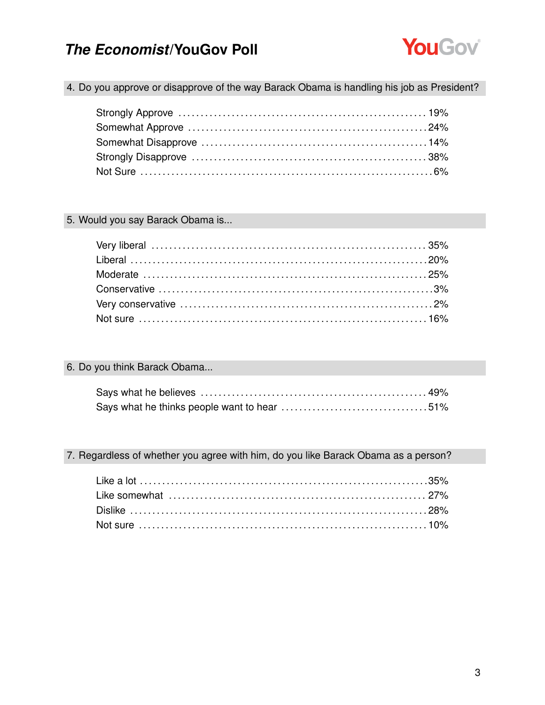

4. Do you approve or disapprove of the way Barack Obama is handling his job as President?

### 5. Would you say Barack Obama is...

### 6. Do you think Barack Obama...

### 7. Regardless of whether you agree with him, do you like Barack Obama as a person?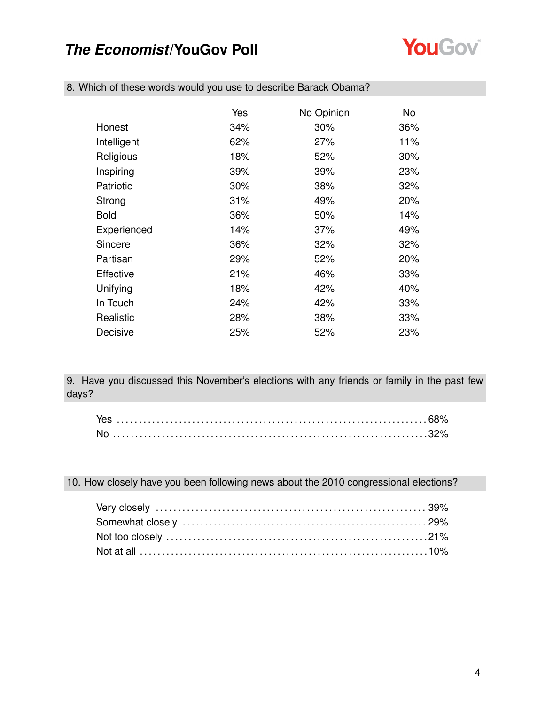

|             | Yes | No Opinion | No  |
|-------------|-----|------------|-----|
| Honest      | 34% | 30%        | 36% |
| Intelligent | 62% | 27%        | 11% |
| Religious   | 18% | 52%        | 30% |
| Inspiring   | 39% | 39%        | 23% |
| Patriotic   | 30% | 38%        | 32% |
| Strong      | 31% | 49%        | 20% |
| <b>Bold</b> | 36% | 50%        | 14% |
| Experienced | 14% | 37%        | 49% |
| Sincere     | 36% | 32%        | 32% |
| Partisan    | 29% | 52%        | 20% |
| Effective   | 21% | 46%        | 33% |
| Unifying    | 18% | 42%        | 40% |
| In Touch    | 24% | 42%        | 33% |
| Realistic   | 28% | 38%        | 33% |
| Decisive    | 25% | 52%        | 23% |

8. Which of these words would you use to describe Barack Obama?

9. Have you discussed this November's elections with any friends or family in the past few days?

|  |  |  | 10. How closely have you been following news about the 2010 congressional elections? |
|--|--|--|--------------------------------------------------------------------------------------|
|--|--|--|--------------------------------------------------------------------------------------|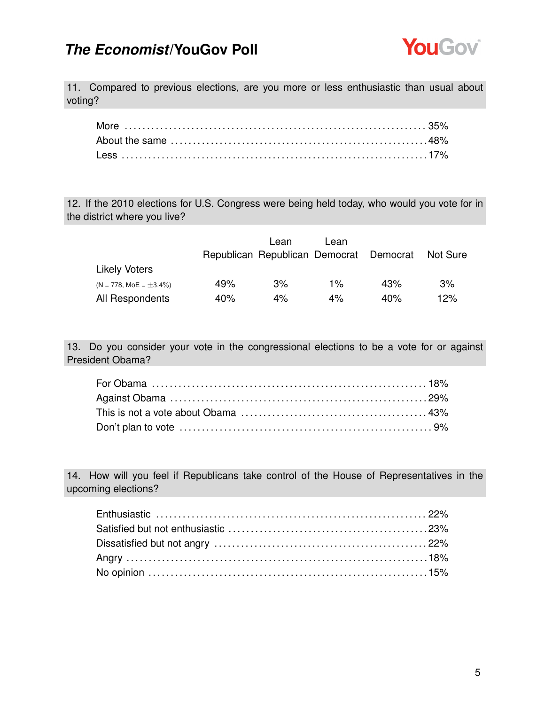

11. Compared to previous elections, are you more or less enthusiastic than usual about voting?

12. If the 2010 elections for U.S. Congress were being held today, who would you vote for in the district where you live?

|                              |     | Lean                                    | Lean  |     |          |
|------------------------------|-----|-----------------------------------------|-------|-----|----------|
|                              |     | Republican Republican Democrat Democrat |       |     | Not Sure |
| <b>Likely Voters</b>         |     |                                         |       |     |          |
| $(N = 778, MOE = \pm 3.4\%)$ | 49% | 3%                                      | $1\%$ | 43% | 3%       |
| All Respondents              | 40% | $4\%$                                   | 4%    | 40% | 12%      |

13. Do you consider your vote in the congressional elections to be a vote for or against President Obama?

14. How will you feel if Republicans take control of the House of Representatives in the upcoming elections?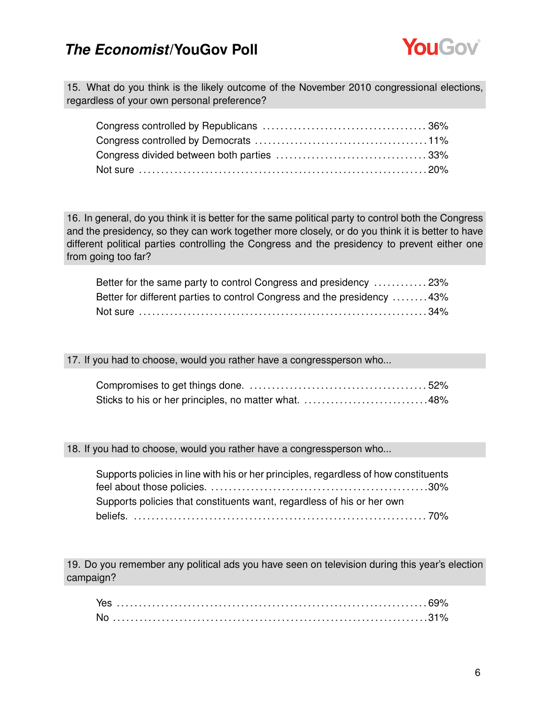

15. What do you think is the likely outcome of the November 2010 congressional elections, regardless of your own personal preference?

16. In general, do you think it is better for the same political party to control both the Congress and the presidency, so they can work together more closely, or do you think it is better to have different political parties controlling the Congress and the presidency to prevent either one from going too far?

| Better for the same party to control Congress and presidency  23%       |  |
|-------------------------------------------------------------------------|--|
| Better for different parties to control Congress and the presidency 43% |  |
|                                                                         |  |

17. If you had to choose, would you rather have a congressperson who...

| Sticks to his or her principles, no matter what. 48% |  |
|------------------------------------------------------|--|

18. If you had to choose, would you rather have a congressperson who...

| Supports policies in line with his or her principles, regardless of how constituents |  |
|--------------------------------------------------------------------------------------|--|
|                                                                                      |  |
| Supports policies that constituents want, regardless of his or her own               |  |
|                                                                                      |  |

19. Do you remember any political ads you have seen on television during this year's election campaign?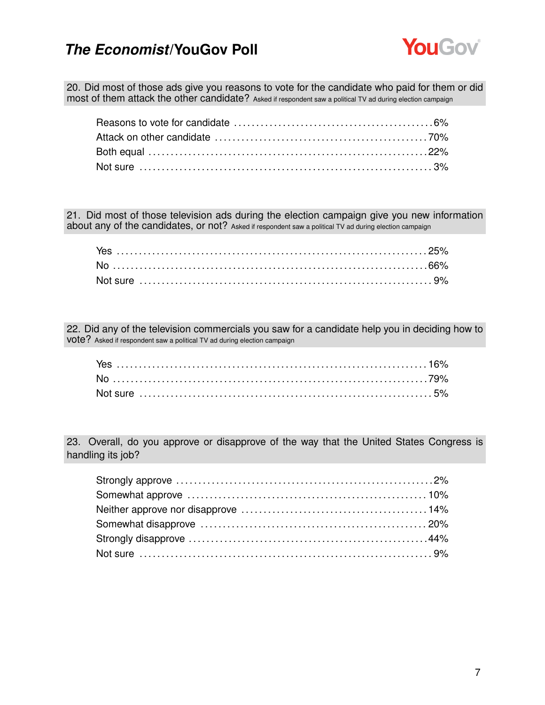

20. Did most of those ads give you reasons to vote for the candidate who paid for them or did most of them attack the other candidate? Asked if respondent saw a political TV ad during election campaign

21. Did most of those television ads during the election campaign give you new information about any of the candidates, or not? Asked if respondent saw a political TV ad during election campaign

22. Did any of the television commercials you saw for a candidate help you in deciding how to vote? Asked if respondent saw a political TV ad during election campaign

23. Overall, do you approve or disapprove of the way that the United States Congress is handling its job?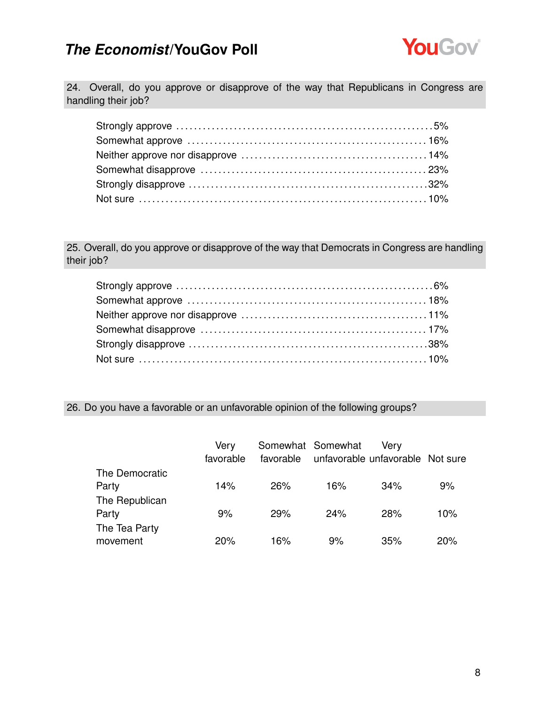

24. Overall, do you approve or disapprove of the way that Republicans in Congress are handling their job?

25. Overall, do you approve or disapprove of the way that Democrats in Congress are handling their job?

### 26. Do you have a favorable or an unfavorable opinion of the following groups?

|                | Very<br>favorable |     | Somewhat Somewhat | Verv<br>favorable unfavorable unfavorable Not sure |     |
|----------------|-------------------|-----|-------------------|----------------------------------------------------|-----|
| The Democratic |                   |     |                   |                                                    |     |
| Party          | 14%               | 26% | 16%               | 34%                                                | 9%  |
| The Republican |                   |     |                   |                                                    |     |
| Party          | 9%                | 29% | 24%               | 28%                                                | 10% |
| The Tea Party  |                   |     |                   |                                                    |     |
| movement       | 20%               | 16% | 9%                | 35%                                                | 20% |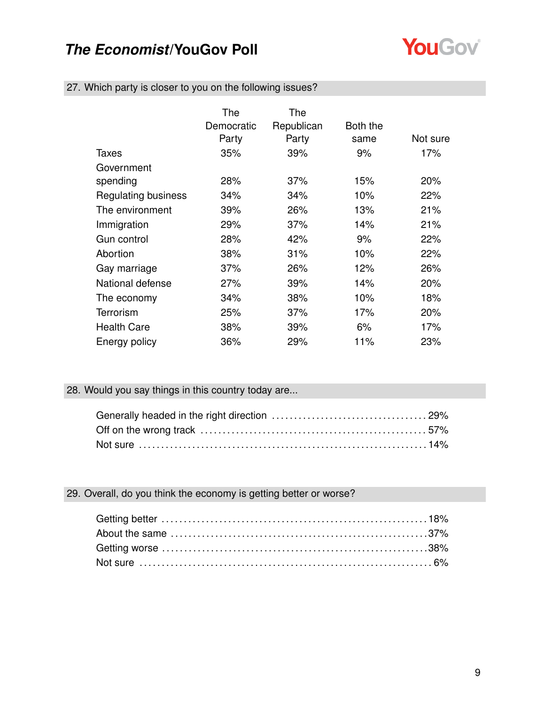

|  | 27. Which party is closer to you on the following issues? |  |  |  |
|--|-----------------------------------------------------------|--|--|--|
|  |                                                           |  |  |  |

|                     | The<br>Democratic<br>Party | The<br>Republican<br>Party | Both the<br>same | Not sure |
|---------------------|----------------------------|----------------------------|------------------|----------|
| Taxes               | 35%                        | 39%                        | 9%               | 17%      |
| Government          |                            |                            |                  |          |
| spending            | 28%                        | 37%                        | 15%              | 20%      |
| Regulating business | 34%                        | 34%                        | 10%              | 22%      |
| The environment     | 39%                        | 26%                        | 13%              | 21%      |
| Immigration         | 29%                        | 37%                        | 14%              | 21%      |
| Gun control         | 28%                        | 42%                        | 9%               | 22%      |
| Abortion            | 38%                        | 31%                        | 10%              | 22%      |
| Gay marriage        | 37%                        | 26%                        | 12%              | 26%      |
| National defense    | 27%                        | 39%                        | 14%              | 20%      |
| The economy         | 34%                        | 38%                        | 10%              | 18%      |
| Terrorism           | 25%                        | 37%                        | 17%              | 20%      |
| <b>Health Care</b>  | 38%                        | 39%                        | 6%               | 17%      |
| Energy policy       | 36%                        | 29%                        | 11%              | 23%      |

### 28. Would you say things in this country today are...

### 29. Overall, do you think the economy is getting better or worse?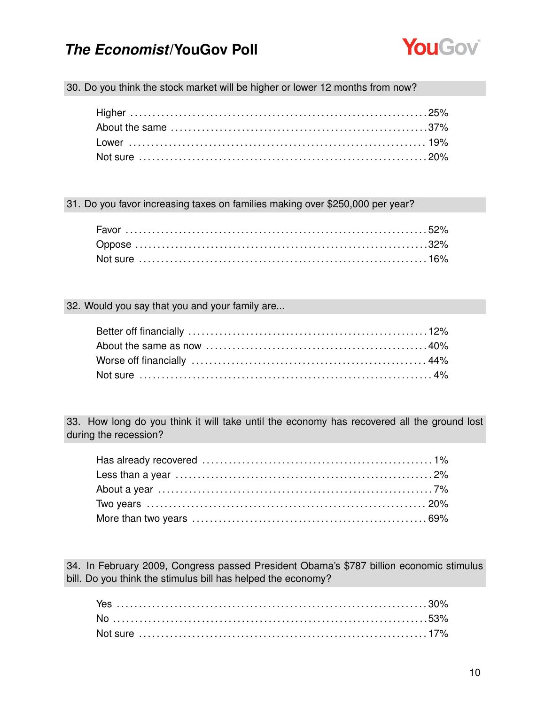

30. Do you think the stock market will be higher or lower 12 months from now?

31. Do you favor increasing taxes on families making over \$250,000 per year?

#### 32. Would you say that you and your family are...

33. How long do you think it will take until the economy has recovered all the ground lost during the recession?

34. In February 2009, Congress passed President Obama's \$787 billion economic stimulus bill. Do you think the stimulus bill has helped the economy?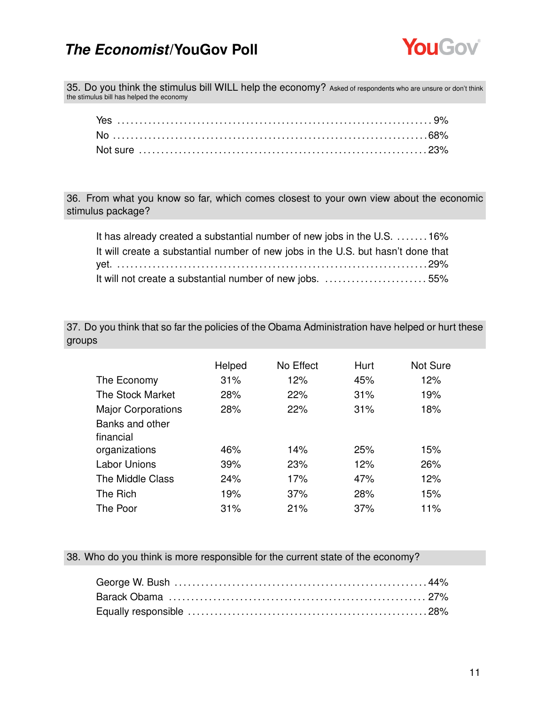

35. Do you think the stimulus bill WILL help the economy? Asked of respondents who are unsure or don't think the stimulus bill has helped the economy

36. From what you know so far, which comes closest to your own view about the economic stimulus package?

| It has already created a substantial number of new jobs in the U.S. 16%          |  |
|----------------------------------------------------------------------------------|--|
| It will create a substantial number of new jobs in the U.S. but hasn't done that |  |
|                                                                                  |  |
| It will not create a substantial number of new jobs. 55%                         |  |

37. Do you think that so far the policies of the Obama Administration have helped or hurt these groups

|                           | Helped | No Effect | Hurt | Not Sure |
|---------------------------|--------|-----------|------|----------|
| The Economy               | 31%    | 12%       | 45%  | 12%      |
| The Stock Market          | 28%    | 22%       | 31%  | 19%      |
| <b>Major Corporations</b> | 28%    | 22%       | 31%  | 18%      |
| Banks and other           |        |           |      |          |
| financial                 |        |           |      |          |
| organizations             | 46%    | 14%       | 25%  | 15%      |
| <b>Labor Unions</b>       | 39%    | 23%       | 12%  | 26%      |
| The Middle Class          | 24%    | 17%       | 47%  | 12%      |
| The Rich                  | 19%    | 37%       | 28%  | 15%      |
| The Poor                  | 31%    | 21%       | 37%  | 11%      |

38. Who do you think is more responsible for the current state of the economy?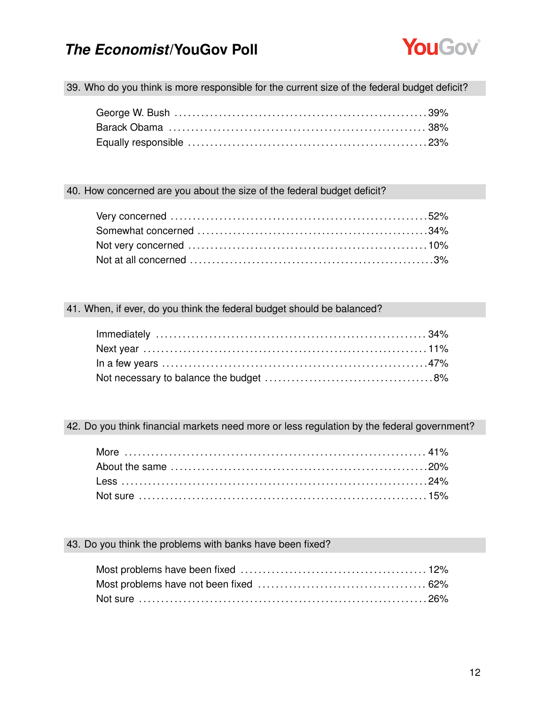

39. Who do you think is more responsible for the current size of the federal budget deficit?

#### 40. How concerned are you about the size of the federal budget deficit?

### 41. When, if ever, do you think the federal budget should be balanced?

42. Do you think financial markets need more or less regulation by the federal government?

### 43. Do you think the problems with banks have been fixed?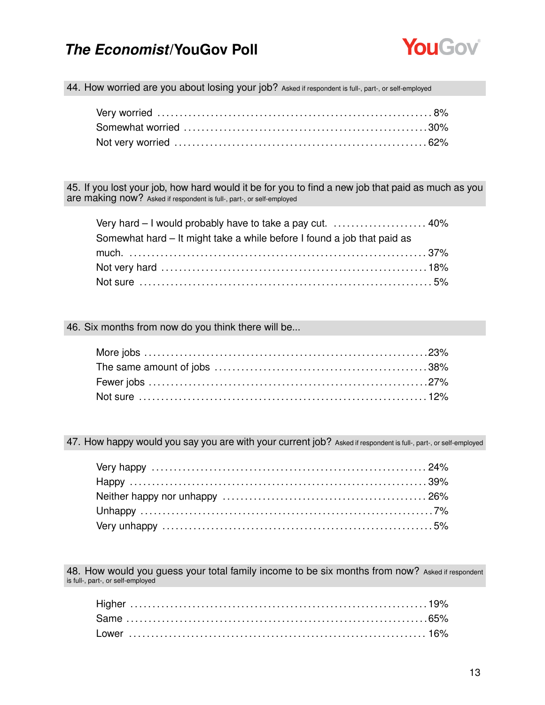

44. How worried are you about losing your job? Asked if respondent is full-, part-, or self-employed

45. If you lost your job, how hard would it be for you to find a new job that paid as much as you are making now? Asked if respondent is full-, part-, or self-employed

| Somewhat hard – It might take a while before I found a job that paid as |  |
|-------------------------------------------------------------------------|--|
|                                                                         |  |
|                                                                         |  |
|                                                                         |  |

#### 46. Six months from now do you think there will be...

47. How happy would you say you are with your current job? Asked if respondent is full-, part-, or self-employed

48. How would you guess your total family income to be six months from now? Asked if respondent is full-, part-, or self-employed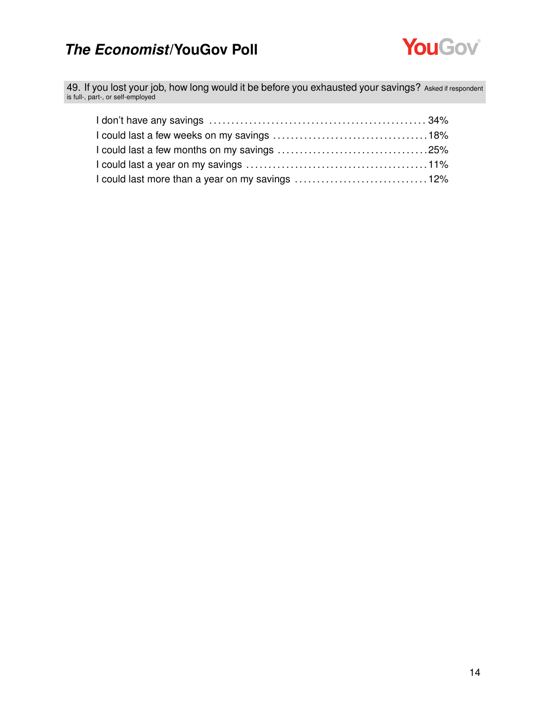

49. If you lost your job, how long would it be before you exhausted your savings? Asked if respondent is full-, part-, or self-employed

| I could last more than a year on my savings 12% |  |
|-------------------------------------------------|--|